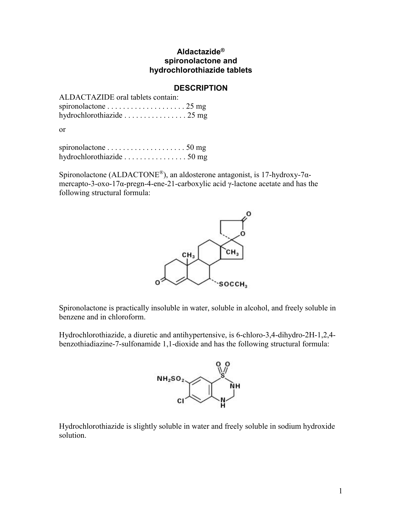### **Aldactazide® spironolactone and hydrochlorothiazide tablets**

## **DESCRIPTION**

| ALDACTAZIDE oral tablets contain:                                |  |
|------------------------------------------------------------------|--|
| spironolactone $\dots \dots \dots \dots \dots \dots \dots 25$ mg |  |
|                                                                  |  |

or

| spironolactone $\dots \dots \dots \dots \dots \dots \dots 50$ mg |  |
|------------------------------------------------------------------|--|
| hydrochlorothiazide $\dots\dots\dots\dots\dots \dots$ 50 mg      |  |

Spironolactone (ALDACTONE®), an aldosterone antagonist, is 17-hydroxy-7αmercapto-3-oxo-17α-pregn-4-ene-21-carboxylic acid γ-lactone acetate and has the following structural formula:



Spironolactone is practically insoluble in water, soluble in alcohol, and freely soluble in benzene and in chloroform.

Hydrochlorothiazide, a diuretic and antihypertensive, is 6-chloro-3,4-dihydro-2H-1,2,4 benzothiadiazine-7-sulfonamide 1,1-dioxide and has the following structural formula:



Hydrochlorothiazide is slightly soluble in water and freely soluble in sodium hydroxide solution.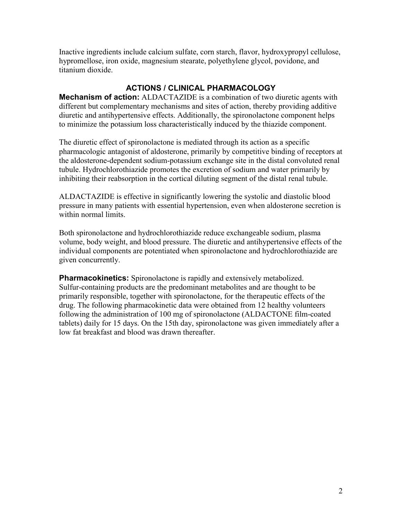Inactive ingredients include calcium sulfate, corn starch, flavor, hydroxypropyl cellulose, hypromellose, iron oxide, magnesium stearate, polyethylene glycol, povidone, and titanium dioxide.

# **ACTIONS / CLINICAL PHARMACOLOGY**

**Mechanism of action:** ALDACTAZIDE is a combination of two diuretic agents with different but complementary mechanisms and sites of action, thereby providing additive diuretic and antihypertensive effects. Additionally, the spironolactone component helps to minimize the potassium loss characteristically induced by the thiazide component.

The diuretic effect of spironolactone is mediated through its action as a specific pharmacologic antagonist of aldosterone, primarily by competitive binding of receptors at the aldosterone-dependent sodium-potassium exchange site in the distal convoluted renal tubule. Hydrochlorothiazide promotes the excretion of sodium and water primarily by inhibiting their reabsorption in the cortical diluting segment of the distal renal tubule.

ALDACTAZIDE is effective in significantly lowering the systolic and diastolic blood pressure in many patients with essential hypertension, even when aldosterone secretion is within normal limits.

Both spironolactone and hydrochlorothiazide reduce exchangeable sodium, plasma volume, body weight, and blood pressure. The diuretic and antihypertensive effects of the individual components are potentiated when spironolactone and hydrochlorothiazide are given concurrently.

**Pharmacokinetics:** Spironolactone is rapidly and extensively metabolized. Sulfur-containing products are the predominant metabolites and are thought to be primarily responsible, together with spironolactone, for the therapeutic effects of the drug. The following pharmacokinetic data were obtained from 12 healthy volunteers following the administration of 100 mg of spironolactone (ALDACTONE film-coated tablets) daily for 15 days. On the 15th day, spironolactone was given immediately after a low fat breakfast and blood was drawn thereafter.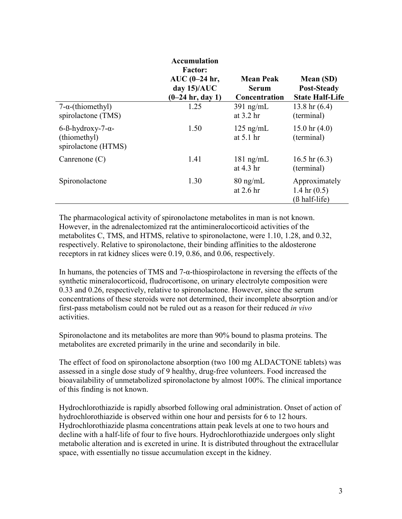|                                                                       | <b>Accumulation</b><br><b>Factor:</b><br>AUC $(0-24)$ hr,<br>day 15)/AUC | <b>Mean Peak</b><br><b>Serum</b>                           | Mean (SD)<br><b>Post-Steady</b>                               |
|-----------------------------------------------------------------------|--------------------------------------------------------------------------|------------------------------------------------------------|---------------------------------------------------------------|
| $7-\alpha$ -(thiomethyl)<br>spirolactone (TMS)                        | $(0-24 \text{ hr}, \text{day } 1)$<br>1.25                               | <b>Concentration</b><br>$391$ ng/mL<br>at $3.2 \text{ hr}$ | <b>State Half-Life</b><br>13.8 hr $(6.4)$<br>(terminal)       |
| $6 - B$ -hydroxy-7- $\alpha$ -<br>(thiomethyl)<br>spirolactone (HTMS) | 1.50                                                                     | $125$ ng/mL<br>at $5.1$ hr                                 | 15.0 hr $(4.0)$<br>(terminal)                                 |
| Canrenone $(C)$                                                       | 1.41                                                                     | $181$ ng/mL<br>at $4.3 \text{ hr}$                         | 16.5 hr $(6.3)$<br>(terminal)                                 |
| Spironolactone                                                        | 1.30                                                                     | $80 \text{ ng/mL}$<br>at $2.6$ hr                          | Approximately<br>1.4 $hr(0.5)$<br>$(\beta \text{ half-life})$ |

The pharmacological activity of spironolactone metabolites in man is not known. However, in the adrenalectomized rat the antimineralocorticoid activities of the metabolites C, TMS, and HTMS, relative to spironolactone, were 1.10, 1.28, and 0.32, respectively. Relative to spironolactone, their binding affinities to the aldosterone receptors in rat kidney slices were 0.19, 0.86, and 0.06, respectively.

In humans, the potencies of TMS and 7-α-thiospirolactone in reversing the effects of the synthetic mineralocorticoid, fludrocortisone, on urinary electrolyte composition were 0.33 and 0.26, respectively, relative to spironolactone. However, since the serum concentrations of these steroids were not determined, their incomplete absorption and/or first-pass metabolism could not be ruled out as a reason for their reduced *in vivo*  activities.

Spironolactone and its metabolites are more than 90% bound to plasma proteins. The metabolites are excreted primarily in the urine and secondarily in bile.

The effect of food on spironolactone absorption (two 100 mg ALDACTONE tablets) was assessed in a single dose study of 9 healthy, drug-free volunteers. Food increased the bioavailability of unmetabolized spironolactone by almost 100%. The clinical importance of this finding is not known.

Hydrochlorothiazide is rapidly absorbed following oral administration. Onset of action of hydrochlorothiazide is observed within one hour and persists for 6 to 12 hours. Hydrochlorothiazide plasma concentrations attain peak levels at one to two hours and decline with a half-life of four to five hours. Hydrochlorothiazide undergoes only slight metabolic alteration and is excreted in urine. It is distributed throughout the extracellular space, with essentially no tissue accumulation except in the kidney.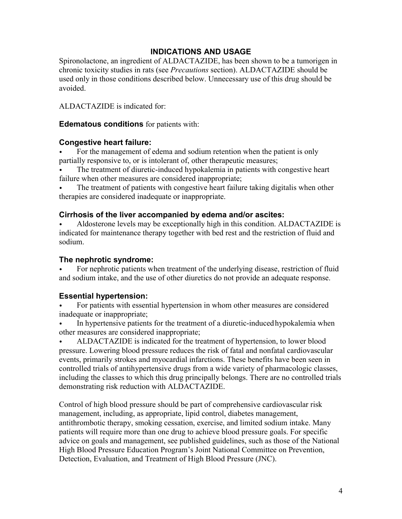## **INDICATIONS AND USAGE**

Spironolactone, an ingredient of ALDACTAZIDE, has been shown to be a tumorigen in chronic toxicity studies in rats (see *Precautions* section). ALDACTAZIDE should be used only in those conditions described below. Unnecessary use of this drug should be avoided.

ALDACTAZIDE is indicated for:

**Edematous conditions** for patients with:

### **Congestive heart failure:**

• For the management of edema and sodium retention when the patient is only partially responsive to, or is intolerant of, other therapeutic measures;

The treatment of diuretic-induced hypokalemia in patients with congestive heart failure when other measures are considered inappropriate;

The treatment of patients with congestive heart failure taking digitalis when other therapies are considered inadequate or inappropriate.

#### **Cirrhosis of the liver accompanied by edema and/or ascites:**

• Aldosterone levels may be exceptionally high in this condition. ALDACTAZIDE is indicated for maintenance therapy together with bed rest and the restriction of fluid and sodium.

#### **The nephrotic syndrome:**

• For nephrotic patients when treatment of the underlying disease, restriction of fluid and sodium intake, and the use of other diuretics do not provide an adequate response.

## **Essential hypertension:**

• For patients with essential hypertension in whom other measures are considered inadequate or inappropriate;

In hypertensive patients for the treatment of a diuretic-induced hypokalemia when other measures are considered inappropriate;

• ALDACTAZIDE is indicated for the treatment of hypertension, to lower blood pressure. Lowering blood pressure reduces the risk of fatal and nonfatal cardiovascular events, primarily strokes and myocardial infarctions. These benefits have been seen in controlled trials of antihypertensive drugs from a wide variety of pharmacologic classes, including the classes to which this drug principally belongs. There are no controlled trials demonstrating risk reduction with ALDACTAZIDE.

Control of high blood pressure should be part of comprehensive cardiovascular risk management, including, as appropriate, lipid control, diabetes management, antithrombotic therapy, smoking cessation, exercise, and limited sodium intake. Many patients will require more than one drug to achieve blood pressure goals. For specific advice on goals and management, see published guidelines, such as those of the National High Blood Pressure Education Program's Joint National Committee on Prevention, Detection, Evaluation, and Treatment of High Blood Pressure (JNC).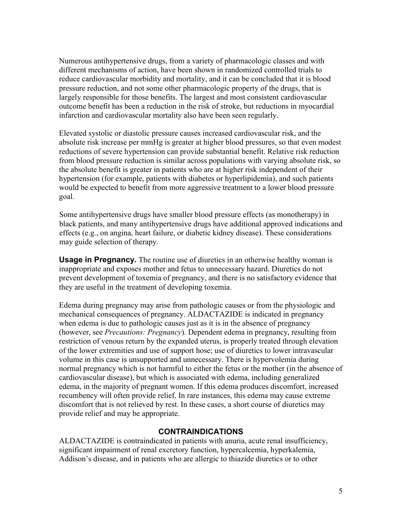Numerous antihypertensive drugs, from a variety of pharmacologic classes and with different mechanisms of action, have been shown in randomized controlled trials to reduce cardiovascular morbidity and mortality, and it can be concluded that it is blood pressure reduction, and not some other pharmacologic property of the drugs, that is largely responsible for those benefits. The largest and most consistent cardiovascular outcome benefit has been a reduction in the risk of stroke, but reductions in myocardial infarction and cardiovascular mortality also have been seen regularly.

Elevated systolic or diastolic pressure causes increased cardiovascular risk, and the absolute risk increase per mmHg is greater at higher blood pressures, so that even modest reductions of severe hypertension can provide substantial benefit. Relative risk reduction from blood pressure reduction is similar across populations with varying absolute risk, so the absolute benefit is greater in patients who are at higher risk independent of their hypertension (for example, patients with diabetes or hyperlipidemia), and such patients would be expected to benefit from more aggressive treatment to a lower blood pressure goal.

Some antihypertensive drugs have smaller blood pressure effects (as monotherapy) in black patients, and many antihypertensive drugs have additional approved indications and effects (e.g., on angina, heart failure, or diabetic kidney disease). These considerations may guide selection of therapy.

**Usage in Pregnancy.** The routine use of diuretics in an otherwise healthy woman is inappropriate and exposes mother and fetus to unnecessary hazard. Diuretics do not prevent development of toxemia of pregnancy, and there is no satisfactory evidence that they are useful in the treatment of developing toxemia.

Edema during pregnancy may arise from pathologic causes or from the physiologic and mechanical consequences of pregnancy. ALDACTAZIDE is indicated in pregnancy when edema is due to pathologic causes just as it is in the absence of pregnancy (however, see *Precautions: Pregnancy*). Dependent edema in pregnancy, resulting from restriction of venous return by the expanded uterus, is properly treated through elevation of the lower extremities and use of support hose; use of diuretics to lower intravascular volume in this case is unsupported and unnecessary. There is hypervolemia during normal pregnancy which is not harmful to either the fetus or the mother (in the absence of cardiovascular disease), but which is associated with edema, including generalized edema, in the majority of pregnant women. If this edema produces discomfort, increased recumbency will often provide relief. In rare instances, this edema may cause extreme discomfort that is not relieved by rest. In these cases, a short course of diuretics may provide relief and may be appropriate.

## **CONTRAINDICATIONS**

ALDACTAZIDE is contraindicated in patients with anuria, acute renal insufficiency, significant impairment of renal excretory function, hypercalcemia, hyperkalemia, Addison's disease, and in patients who are allergic to thiazide diuretics or to other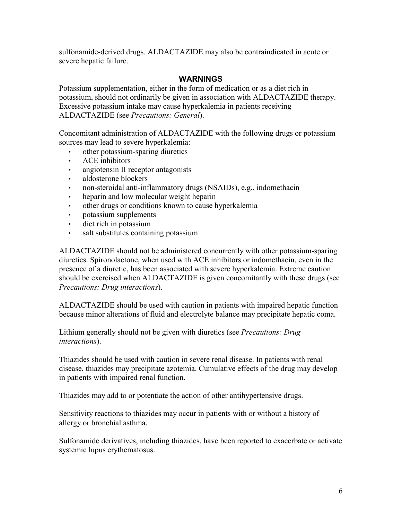sulfonamide-derived drugs. ALDACTAZIDE may also be contraindicated in acute or severe hepatic failure.

## **WARNINGS**

Potassium supplementation, either in the form of medication or as a diet rich in potassium, should not ordinarily be given in association with ALDACTAZIDE therapy. Excessive potassium intake may cause hyperkalemia in patients receiving ALDACTAZIDE (see *Precautions: General*).

Concomitant administration of ALDACTAZIDE with the following drugs or potassium sources may lead to severe hyperkalemia:

- other potassium-sparing diuretics
- ACE inhibitors
- angiotensin II receptor antagonists
- aldosterone blockers
- non-steroidal anti-inflammatory drugs (NSAIDs), e.g., indomethacin
- heparin and low molecular weight heparin
- other drugs or conditions known to cause hyperkalemia
- potassium supplements
- diet rich in potassium
- salt substitutes containing potassium

ALDACTAZIDE should not be administered concurrently with other potassium-sparing diuretics. Spironolactone, when used with ACE inhibitors or indomethacin, even in the presence of a diuretic, has been associated with severe hyperkalemia. Extreme caution should be exercised when ALDACTAZIDE is given concomitantly with these drugs (see *Precautions: Drug interactions*).

ALDACTAZIDE should be used with caution in patients with impaired hepatic function because minor alterations of fluid and electrolyte balance may precipitate hepatic coma.

Lithium generally should not be given with diuretics (see *Precautions: Drug interactions*).

Thiazides should be used with caution in severe renal disease. In patients with renal disease, thiazides may precipitate azotemia. Cumulative effects of the drug may develop in patients with impaired renal function.

Thiazides may add to or potentiate the action of other antihypertensive drugs.

Sensitivity reactions to thiazides may occur in patients with or without a history of allergy or bronchial asthma.

Sulfonamide derivatives, including thiazides, have been reported to exacerbate or activate systemic lupus erythematosus.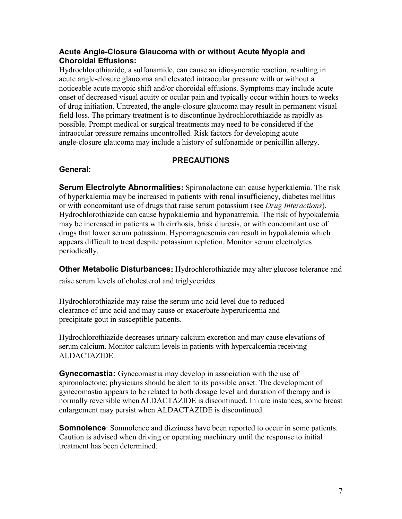## **Acute Angle-Closure Glaucoma with or without Acute Myopia and Choroidal Effusions:**

Hydrochlorothiazide, a sulfonamide, can cause an idiosyncratic reaction, resulting in acute angle-closure glaucoma and elevated intraocular pressure with or without a noticeable acute myopic shift and/or choroidal effusions. Symptoms may include acute onset of decreased visual acuity or ocular pain and typically occur within hours to weeks of drug initiation. Untreated, the angle-closure glaucoma may result in permanent visual field loss. The primary treatment is to discontinue hydrochlorothiazide as rapidly as possible. Prompt medical or surgical treatments may need to be considered if the intraocular pressure remains uncontrolled. Risk factors for developing acute angle-closure glaucoma may include a history of sulfonamide or penicillin allergy.

# **PRECAUTIONS**

# **General:**

**Serum Electrolyte Abnormalities:** Spironolactone can cause hyperkalemia. The risk of hyperkalemia may be increased in patients with renal insufficiency, diabetes mellitus or with concomitant use of drugs that raise serum potassium (see *Drug Interactions*). Hydrochlorothiazide can cause hypokalemia and hyponatremia. The risk of hypokalemia may be increased in patients with cirrhosis, brisk diuresis, or with concomitant use of drugs that lower serum potassium. Hypomagnesemia can result in hypokalemia which appears difficult to treat despite potassium repletion. Monitor serum electrolytes periodically.

**Other Metabolic Disturbances:** Hydrochlorothiazide may alter glucose tolerance and raise serum levels of cholesterol and triglycerides.

Hydrochlorothiazide may raise the serum uric acid level due to reduced clearance of uric acid and may cause or exacerbate hyperuricemia and precipitate gout in susceptible patients.

Hydrochlorothiazide decreases urinary calcium excretion and may cause elevations of serum calcium. Monitor calcium levels in patients with hypercalcemia receiving ALDACTAZIDE.

**Gynecomastia:** Gynecomastia may develop in association with the use of spironolactone; physicians should be alert to its possible onset. The development of gynecomastia appears to be related to both dosage level and duration of therapy and is normally reversible whenALDACTAZIDE is discontinued. In rare instances, some breast enlargement may persist when ALDACTAZIDE is discontinued.

**Somnolence**: Somnolence and dizziness have been reported to occur in some patients. Caution is advised when driving or operating machinery until the response to initial treatment has been determined.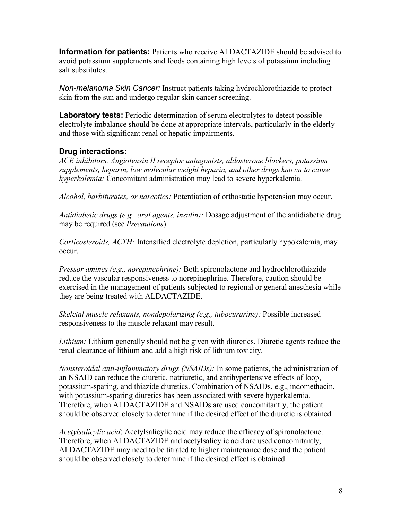**Information for patients:** Patients who receive ALDACTAZIDE should be advised to avoid potassium supplements and foods containing high levels of potassium including salt substitutes.

*Non-melanoma Skin Cancer:* Instruct patients taking hydrochlorothiazide to protect skin from the sun and undergo regular skin cancer screening.

**Laboratory tests:** Periodic determination of serum electrolytes to detect possible electrolyte imbalance should be done at appropriate intervals, particularly in the elderly and those with significant renal or hepatic impairments.

# **Drug interactions:**

*ACE inhibitors, Angiotensin II receptor antagonists, aldosterone blockers, potassium supplements, heparin, low molecular weight heparin, and other drugs known to cause hyperkalemia:* Concomitant administration may lead to severe hyperkalemia.

*Alcohol, barbiturates, or narcotics:* Potentiation of orthostatic hypotension may occur.

*Antidiabetic drugs (e.g., oral agents, insulin):* Dosage adjustment of the antidiabetic drug may be required (see *Precautions*).

*Corticosteroids, ACTH:* Intensified electrolyte depletion, particularly hypokalemia, may occur.

*Pressor amines (e.g., norepinephrine):* Both spironolactone and hydrochlorothiazide reduce the vascular responsiveness to norepinephrine. Therefore, caution should be exercised in the management of patients subjected to regional or general anesthesia while they are being treated with ALDACTAZIDE.

*Skeletal muscle relaxants, nondepolarizing (e.g., tubocurarine):* Possible increased responsiveness to the muscle relaxant may result.

*Lithium:* Lithium generally should not be given with diuretics. Diuretic agents reduce the renal clearance of lithium and add a high risk of lithium toxicity.

*Nonsteroidal anti-inflammatory drugs (NSAIDs):* In some patients, the administration of an NSAID can reduce the diuretic, natriuretic, and antihypertensive effects of loop, potassium-sparing, and thiazide diuretics. Combination of NSAIDs, e.g., indomethacin, with potassium-sparing diuretics has been associated with severe hyperkalemia. Therefore, when ALDACTAZIDE and NSAIDs are used concomitantly, the patient should be observed closely to determine if the desired effect of the diuretic is obtained.

*Acetylsalicylic acid*: Acetylsalicylic acid may reduce the efficacy of spironolactone. Therefore, when ALDACTAZIDE and acetylsalicylic acid are used concomitantly, ALDACTAZIDE may need to be titrated to higher maintenance dose and the patient should be observed closely to determine if the desired effect is obtained.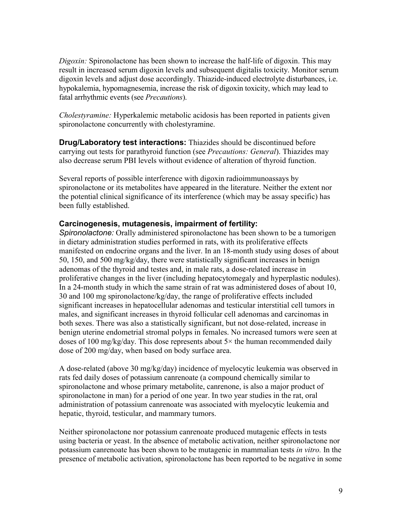*Digoxin:* Spironolactone has been shown to increase the half-life of digoxin. This may result in increased serum digoxin levels and subsequent digitalis toxicity. Monitor serum digoxin levels and adjust dose accordingly. Thiazide-induced electrolyte disturbances, i.e. hypokalemia, hypomagnesemia, increase the risk of digoxin toxicity, which may lead to fatal arrhythmic events (see *Precautions*).

*Cholestyramine:* Hyperkalemic metabolic acidosis has been reported in patients given spironolactone concurrently with cholestyramine.

**Drug/Laboratory test interactions:** Thiazides should be discontinued before carrying out tests for parathyroid function (see *Precautions: General*). Thiazides may also decrease serum PBI levels without evidence of alteration of thyroid function.

Several reports of possible interference with digoxin radioimmunoassays by spironolactone or its metabolites have appeared in the literature. Neither the extent nor the potential clinical significance of its interference (which may be assay specific) has been fully established.

## **Carcinogenesis, mutagenesis, impairment of fertility:**

*Spironolactone:* Orally administered spironolactone has been shown to be a tumorigen in dietary administration studies performed in rats, with its proliferative effects manifested on endocrine organs and the liver. In an 18-month study using doses of about 50, 150, and 500 mg/kg/day, there were statistically significant increases in benign adenomas of the thyroid and testes and, in male rats, a dose-related increase in proliferative changes in the liver (including hepatocytomegaly and hyperplastic nodules). In a 24-month study in which the same strain of rat was administered doses of about 10, 30 and 100 mg spironolactone/kg/day, the range of proliferative effects included significant increases in hepatocellular adenomas and testicular interstitial cell tumors in males, and significant increases in thyroid follicular cell adenomas and carcinomas in both sexes. There was also a statistically significant, but not dose-related, increase in benign uterine endometrial stromal polyps in females. No increased tumors were seen at doses of 100 mg/kg/day. This dose represents about  $5\times$  the human recommended daily dose of 200 mg/day, when based on body surface area.

A dose-related (above 30 mg/kg/day) incidence of myelocytic leukemia was observed in rats fed daily doses of potassium canrenoate (a compound chemically similar to spironolactone and whose primary metabolite, canrenone, is also a major product of spironolactone in man) for a period of one year. In two year studies in the rat, oral administration of potassium canrenoate was associated with myelocytic leukemia and hepatic, thyroid, testicular, and mammary tumors.

Neither spironolactone nor potassium canrenoate produced mutagenic effects in tests using bacteria or yeast. In the absence of metabolic activation, neither spironolactone nor potassium canrenoate has been shown to be mutagenic in mammalian tests *in vitro.* In the presence of metabolic activation, spironolactone has been reported to be negative in some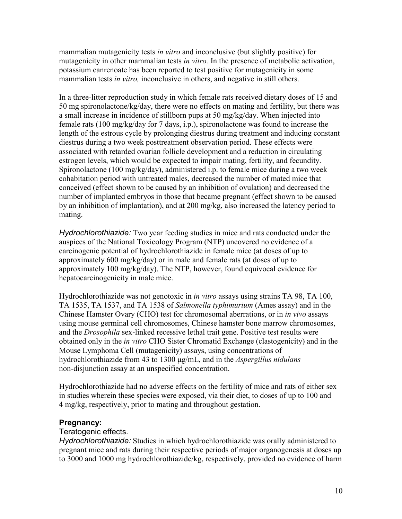mammalian mutagenicity tests *in vitro* and inconclusive (but slightly positive) for mutagenicity in other mammalian tests *in vitro.* In the presence of metabolic activation, potassium canrenoate has been reported to test positive for mutagenicity in some mammalian tests *in vitro,* inconclusive in others, and negative in still others.

In a three-litter reproduction study in which female rats received dietary doses of 15 and 50 mg spironolactone/kg/day, there were no effects on mating and fertility, but there was a small increase in incidence of stillborn pups at 50 mg/kg/day. When injected into female rats (100 mg/kg/day for 7 days, i.p.), spironolactone was found to increase the length of the estrous cycle by prolonging diestrus during treatment and inducing constant diestrus during a two week posttreatment observation period. These effects were associated with retarded ovarian follicle development and a reduction in circulating estrogen levels, which would be expected to impair mating, fertility, and fecundity. Spironolactone (100 mg/kg/day), administered i.p. to female mice during a two week cohabitation period with untreated males, decreased the number of mated mice that conceived (effect shown to be caused by an inhibition of ovulation) and decreased the number of implanted embryos in those that became pregnant (effect shown to be caused by an inhibition of implantation), and at 200 mg/kg, also increased the latency period to mating.

*Hydrochlorothiazide:* Two year feeding studies in mice and rats conducted under the auspices of the National Toxicology Program (NTP) uncovered no evidence of a carcinogenic potential of hydrochlorothiazide in female mice (at doses of up to approximately 600 mg/kg/day) or in male and female rats (at doses of up to approximately 100 mg/kg/day). The NTP, however, found equivocal evidence for hepatocarcinogenicity in male mice.

Hydrochlorothiazide was not genotoxic in *in vitro* assays using strains TA 98, TA 100, TA 1535, TA 1537, and TA 1538 of *Salmonella typhimurium* (Ames assay) and in the Chinese Hamster Ovary (CHO) test for chromosomal aberrations, or in *in vivo* assays using mouse germinal cell chromosomes, Chinese hamster bone marrow chromosomes, and the *Drosophila* sex-linked recessive lethal trait gene. Positive test results were obtained only in the *in vitro* CHO Sister Chromatid Exchange (clastogenicity) and in the Mouse Lymphoma Cell (mutagenicity) assays, using concentrations of hydrochlorothiazide from 43 to 1300 μg/mL, and in the *Aspergillus nidulans*  non-disjunction assay at an unspecified concentration.

Hydrochlorothiazide had no adverse effects on the fertility of mice and rats of either sex in studies wherein these species were exposed, via their diet, to doses of up to 100 and 4 mg/kg, respectively, prior to mating and throughout gestation.

## **Pregnancy:**

## Teratogenic effects.

*Hydrochlorothiazide:* Studies in which hydrochlorothiazide was orally administered to pregnant mice and rats during their respective periods of major organogenesis at doses up to 3000 and 1000 mg hydrochlorothiazide/kg, respectively, provided no evidence of harm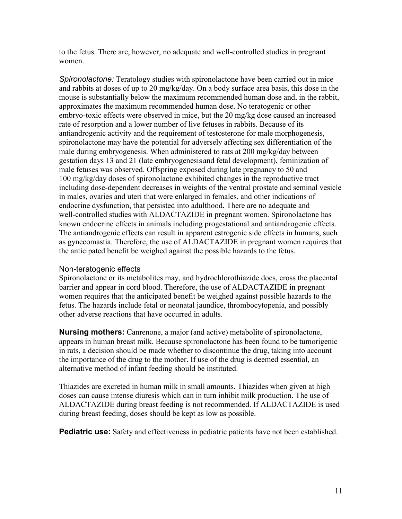to the fetus. There are, however, no adequate and well-controlled studies in pregnant women.

*Spironolactone:* Teratology studies with spironolactone have been carried out in mice and rabbits at doses of up to 20 mg/kg/day. On a body surface area basis, this dose in the mouse is substantially below the maximum recommended human dose and, in the rabbit, approximates the maximum recommended human dose. No teratogenic or other embryo-toxic effects were observed in mice, but the 20 mg/kg dose caused an increased rate of resorption and a lower number of live fetuses in rabbits. Because of its antiandrogenic activity and the requirement of testosterone for male morphogenesis, spironolactone may have the potential for adversely affecting sex differentiation of the male during embryogenesis. When administered to rats at 200 mg/kg/day between gestation days 13 and 21 (late embryogenesis and fetal development), feminization of male fetuses was observed. Offspring exposed during late pregnancy to 50 and 100 mg/kg/day doses of spironolactone exhibited changes in the reproductive tract including dose-dependent decreases in weights of the ventral prostate and seminal vesicle in males, ovaries and uteri that were enlarged in females, and other indications of endocrine dysfunction, that persisted into adulthood. There are no adequate and well-controlled studies with ALDACTAZIDE in pregnant women. Spironolactone has known endocrine effects in animals including progestational and antiandrogenic effects. The antiandrogenic effects can result in apparent estrogenic side effects in humans, such as gynecomastia. Therefore, the use of ALDACTAZIDE in pregnant women requires that the anticipated benefit be weighed against the possible hazards to the fetus.

## Non-teratogenic effects

Spironolactone or its metabolites may, and hydrochlorothiazide does, cross the placental barrier and appear in cord blood. Therefore, the use of ALDACTAZIDE in pregnant women requires that the anticipated benefit be weighed against possible hazards to the fetus. The hazards include fetal or neonatal jaundice, thrombocytopenia, and possibly other adverse reactions that have occurred in adults.

**Nursing mothers:** Canrenone, a major (and active) metabolite of spironolactone, appears in human breast milk. Because spironolactone has been found to be tumorigenic in rats, a decision should be made whether to discontinue the drug, taking into account the importance of the drug to the mother. If use of the drug is deemed essential, an alternative method of infant feeding should be instituted.

Thiazides are excreted in human milk in small amounts. Thiazides when given at high doses can cause intense diuresis which can in turn inhibit milk production. The use of ALDACTAZIDE during breast feeding is not recommended. If ALDACTAZIDE is used during breast feeding, doses should be kept as low as possible.

**Pediatric use:** Safety and effectiveness in pediatric patients have not been established.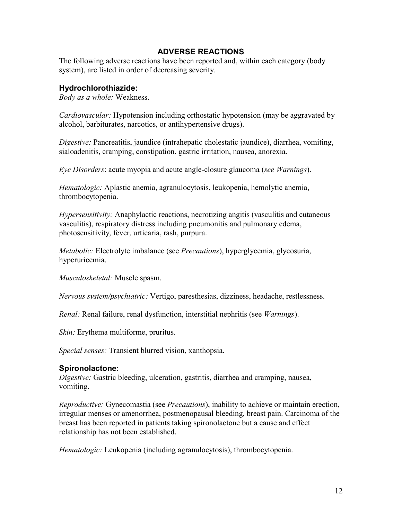### **ADVERSE REACTIONS**

The following adverse reactions have been reported and, within each category (body system), are listed in order of decreasing severity.

### **Hydrochlorothiazide:**

*Body as a whole:* Weakness.

*Cardiovascular:* Hypotension including orthostatic hypotension (may be aggravated by alcohol, barbiturates, narcotics, or antihypertensive drugs).

*Digestive:* Pancreatitis, jaundice (intrahepatic cholestatic jaundice), diarrhea, vomiting, sialoadenitis, cramping, constipation, gastric irritation, nausea, anorexia.

*Eye Disorders*: acute myopia and acute angle-closure glaucoma (*see Warnings*).

*Hematologic:* Aplastic anemia, agranulocytosis, leukopenia, hemolytic anemia, thrombocytopenia.

*Hypersensitivity:* Anaphylactic reactions, necrotizing angitis (vasculitis and cutaneous vasculitis), respiratory distress including pneumonitis and pulmonary edema, photosensitivity, fever, urticaria, rash, purpura.

*Metabolic:* Electrolyte imbalance (see *Precautions*), hyperglycemia, glycosuria, hyperuricemia.

*Musculoskeletal:* Muscle spasm.

*Nervous system/psychiatric:* Vertigo, paresthesias, dizziness, headache, restlessness.

*Renal:* Renal failure, renal dysfunction, interstitial nephritis (see *Warnings*).

*Skin:* Erythema multiforme, pruritus.

*Special senses:* Transient blurred vision, xanthopsia.

#### **Spironolactone:**

*Digestive:* Gastric bleeding, ulceration, gastritis, diarrhea and cramping, nausea, vomiting.

*Reproductive:* Gynecomastia (see *Precautions*), inability to achieve or maintain erection, irregular menses or amenorrhea, postmenopausal bleeding, breast pain. Carcinoma of the breast has been reported in patients taking spironolactone but a cause and effect relationship has not been established.

*Hematologic:* Leukopenia (including agranulocytosis), thrombocytopenia.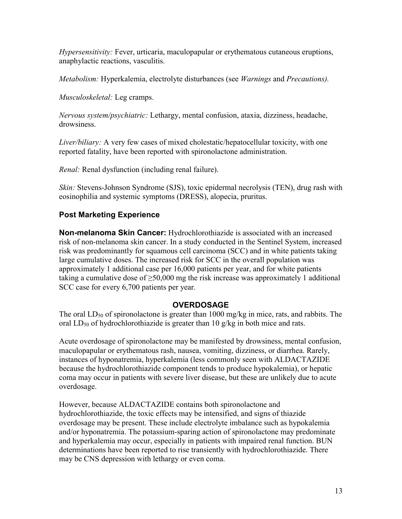*Hypersensitivity:* Fever, urticaria, maculopapular or erythematous cutaneous eruptions, anaphylactic reactions, vasculitis.

*Metabolism:* Hyperkalemia, electrolyte disturbances (see *Warnings* and *Precautions).*

*Musculoskeletal:* Leg cramps.

*Nervous system/psychiatric:* Lethargy, mental confusion, ataxia, dizziness, headache, drowsiness.

*Liver/biliary:* A very few cases of mixed cholestatic/hepatocellular toxicity, with one reported fatality, have been reported with spironolactone administration.

*Renal:* Renal dysfunction (including renal failure).

*Skin:* Stevens-Johnson Syndrome (SJS), toxic epidermal necrolysis (TEN), drug rash with eosinophilia and systemic symptoms (DRESS), alopecia, pruritus.

## **Post Marketing Experience**

**Non-melanoma Skin Cancer:** Hydrochlorothiazide is associated with an increased risk of non-melanoma skin cancer. In a study conducted in the Sentinel System, increased risk was predominantly for squamous cell carcinoma (SCC) and in white patients taking large cumulative doses. The increased risk for SCC in the overall population was approximately 1 additional case per 16,000 patients per year, and for white patients taking a cumulative dose of  $\geq 50,000$  mg the risk increase was approximately 1 additional SCC case for every 6,700 patients per year.

## **OVERDOSAGE**

The oral  $LD_{50}$  of spironolactone is greater than 1000 mg/kg in mice, rats, and rabbits. The oral  $LD_{50}$  of hydrochlorothiazide is greater than 10 g/kg in both mice and rats.

Acute overdosage of spironolactone may be manifested by drowsiness, mental confusion, maculopapular or erythematous rash, nausea, vomiting, dizziness, or diarrhea. Rarely, instances of hyponatremia, hyperkalemia (less commonly seen with ALDACTAZIDE because the hydrochlorothiazide component tends to produce hypokalemia), or hepatic coma may occur in patients with severe liver disease, but these are unlikely due to acute overdosage.

However, because ALDACTAZIDE contains both spironolactone and hydrochlorothiazide, the toxic effects may be intensified, and signs of thiazide overdosage may be present. These include electrolyte imbalance such as hypokalemia and/or hyponatremia. The potassium-sparing action of spironolactone may predominate and hyperkalemia may occur, especially in patients with impaired renal function. BUN determinations have been reported to rise transiently with hydrochlorothiazide. There may be CNS depression with lethargy or even coma.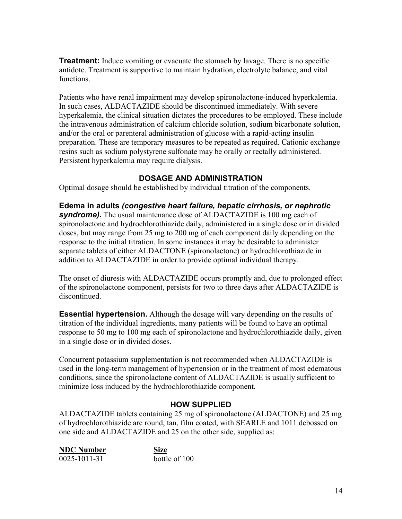**Treatment:** Induce vomiting or evacuate the stomach by lavage. There is no specific antidote. Treatment is supportive to maintain hydration, electrolyte balance, and vital functions.

Patients who have renal impairment may develop spironolactone-induced hyperkalemia. In such cases, ALDACTAZIDE should be discontinued immediately. With severe hyperkalemia, the clinical situation dictates the procedures to be employed. These include the intravenous administration of calcium chloride solution, sodium bicarbonate solution, and/or the oral or parenteral administration of glucose with a rapid-acting insulin preparation. These are temporary measures to be repeated as required. Cationic exchange resins such as sodium polystyrene sulfonate may be orally or rectally administered. Persistent hyperkalemia may require dialysis.

## **DOSAGE AND ADMINISTRATION**

Optimal dosage should be established by individual titration of the components.

**Edema in adults** *(congestive heart failure, hepatic cirrhosis, or nephrotic*  **syndrome).** The usual maintenance dose of ALDACTAZIDE is 100 mg each of spironolactone and hydrochlorothiazide daily, administered in a single dose or in divided doses, but may range from 25 mg to 200 mg of each component daily depending on the response to the initial titration. In some instances it may be desirable to administer separate tablets of either ALDACTONE (spironolactone) or hydrochlorothiazide in addition to ALDACTAZIDE in order to provide optimal individual therapy.

The onset of diuresis with ALDACTAZIDE occurs promptly and, due to prolonged effect of the spironolactone component, persists for two to three days after ALDACTAZIDE is discontinued.

**Essential hypertension.** Although the dosage will vary depending on the results of titration of the individual ingredients, many patients will be found to have an optimal response to 50 mg to 100 mg each of spironolactone and hydrochlorothiazide daily, given in a single dose or in divided doses.

Concurrent potassium supplementation is not recommended when ALDACTAZIDE is used in the long-term management of hypertension or in the treatment of most edematous conditions, since the spironolactone content of ALDACTAZIDE is usually sufficient to minimize loss induced by the hydrochlorothiazide component.

# **HOW SUPPLIED**

ALDACTAZIDE tablets containing 25 mg of spironolactone (ALDACTONE) and 25 mg of hydrochlorothiazide are round, tan, film coated, with SEARLE and 1011 debossed on one side and ALDACTAZIDE and 25 on the other side, supplied as:

| <b>NDC</b> Number | <b>Size</b>   |
|-------------------|---------------|
| 0025-1011-31      | bottle of 100 |